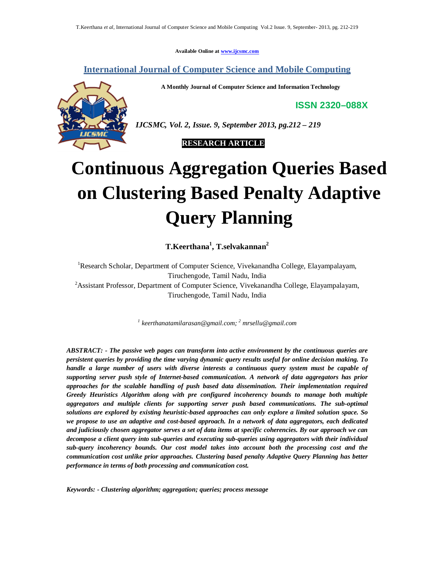**Available Online at www.ijcsmc.com**

**International Journal of Computer Science and Mobile Computing**

**A Monthly Journal of Computer Science and Information Technology**

**ISSN 2320–088X**



*IJCSMC, Vol. 2, Issue. 9, September 2013, pg.212 – 219*

 **RESEARCH ARTICLE**

# **Continuous Aggregation Queries Based on Clustering Based Penalty Adaptive Query Planning**

**T.Keerthana<sup>1</sup> , T.selvakannan<sup>2</sup>**

<sup>1</sup>Research Scholar, Department of Computer Science, Vivekanandha College, Elayampalayam, Tiruchengode, Tamil Nadu, India <sup>2</sup> Assistant Professor, Department of Computer Science, Vivekanandha College, Elayampalayam, Tiruchengode, Tamil Nadu, India

*1 keerthanatamilarasan@gmail.com; <sup>2</sup> mrsellu@gmail.com*

*ABSTRACT: - The passive web pages can transform into active environment by the continuous queries are persistent queries by providing the time varying dynamic query results useful for online decision making. To handle a large number of users with diverse interests a continuous query system must be capable of supporting server push style of Internet-based communication. A network of data aggregators has prior approaches for the scalable handling of push based data dissemination. Their implementation required Greedy Heuristics Algorithm along with pre configured incoherency bounds to manage both multiple aggregators and multiple clients for supporting server push based communications. The sub-optimal solutions are explored by existing heuristic-based approaches can only explore a limited solution space. So we propose to use an adaptive and cost-based approach. In a network of data aggregators, each dedicated and judiciously chosen aggregator serves a set of data items at specific coherencies. By our approach we can decompose a client query into sub-queries and executing sub-queries using aggregators with their individual sub-query incoherency bounds. Our cost model takes into account both the processing cost and the communication cost unlike prior approaches. Clustering based penalty Adaptive Query Planning has better performance in terms of both processing and communication cost.*

*Keywords: - Clustering algorithm; aggregation; queries; process message*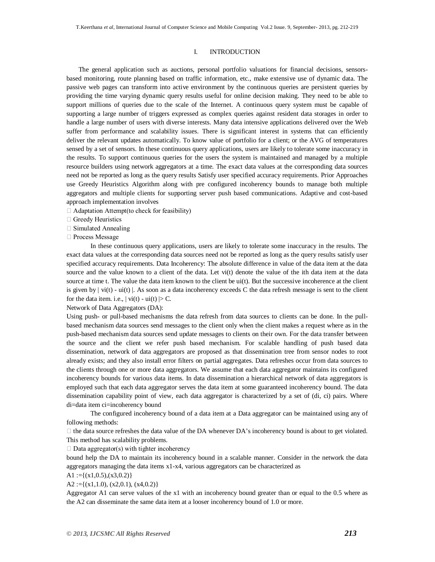## I. INTRODUCTION

The general application such as auctions, personal portfolio valuations for financial decisions, sensorsbased monitoring, route planning based on traffic information, etc., make extensive use of dynamic data. The passive web pages can transform into active environment by the continuous queries are persistent queries by providing the time varying dynamic query results useful for online decision making. They need to be able to support millions of queries due to the scale of the Internet. A continuous query system must be capable of supporting a large number of triggers expressed as complex queries against resident data storages in order to handle a large number of users with diverse interests. Many data intensive applications delivered over the Web suffer from performance and scalability issues. There is significant interest in systems that can efficiently deliver the relevant updates automatically. To know value of portfolio for a client; or the AVG of temperatures sensed by a set of sensors. In these continuous query applications, users are likely to tolerate some inaccuracy in the results. To support continuous queries for the users the system is maintained and managed by a multiple resource builders using network aggregators at a time. The exact data values at the corresponding data sources need not be reported as long as the query results Satisfy user specified accuracy requirements. Prior Approaches use Greedy Heuristics Algorithm along with pre configured incoherency bounds to manage both multiple aggregators and multiple clients for supporting server push based communications. Adaptive and cost-based approach implementation involves

- $\Box$  Adaptation Attempt(to check for feasibility)
- □ Greedy Heuristics
- $\Box$  Simulated Annealing
- □ Process Message

In these continuous query applications, users are likely to tolerate some inaccuracy in the results. The exact data values at the corresponding data sources need not be reported as long as the query results satisfy user specified accuracy requirements. Data Incoherency: The absolute difference in value of the data item at the data source and the value known to a client of the data. Let vi(t) denote the value of the ith data item at the data source at time t. The value the data item known to the client be ui(t). But the successive incoherence at the client is given by  $| \dot{v}(t) - \dot{u}(t) |$ . As soon as a data incoherency exceeds C the data refresh message is sent to the client for the data item. i.e.,  $| \text{vi}(t) - \text{ui}(t) | > C$ .

# Network of Data Aggregators (DA):

Using push- or pull-based mechanisms the data refresh from data sources to clients can be done. In the pullbased mechanism data sources send messages to the client only when the client makes a request where as in the push-based mechanism data sources send update messages to clients on their own. For the data transfer between the source and the client we refer push based mechanism. For scalable handling of push based data dissemination, network of data aggregators are proposed as that dissemination tree from sensor nodes to root already exists; and they also install error filters on partial aggregates. Data refreshes occur from data sources to the clients through one or more data aggregators. We assume that each data aggregator maintains its configured incoherency bounds for various data items. In data dissemination a hierarchical network of data aggregators is employed such that each data aggregator serves the data item at some guaranteed incoherency bound. The data dissemination capability point of view, each data aggregator is characterized by a set of (di, ci) pairs. Where di=data item ci=incoherency bound

The configured incoherency bound of a data item at a Data aggregator can be maintained using any of following methods:

 $\Box$  the data source refreshes the data value of the DA whenever DA's incoherency bound is about to get violated. This method has scalability problems.

 $\square$  Data aggregator(s) with tighter incoherency

bound help the DA to maintain its incoherency bound in a scalable manner. Consider in the network the data aggregators managing the data items x1-x4, various aggregators can be characterized as

A1 := $\{(x1,0.5), (x3,0.2)\}$ 

 $A2 := \{(x1,1.0), (x2,0.1), (x4,0.2)\}\$ 

Aggregator A1 can serve values of the x1 with an incoherency bound greater than or equal to the 0.5 where as the A2 can disseminate the same data item at a looser incoherency bound of 1.0 or more.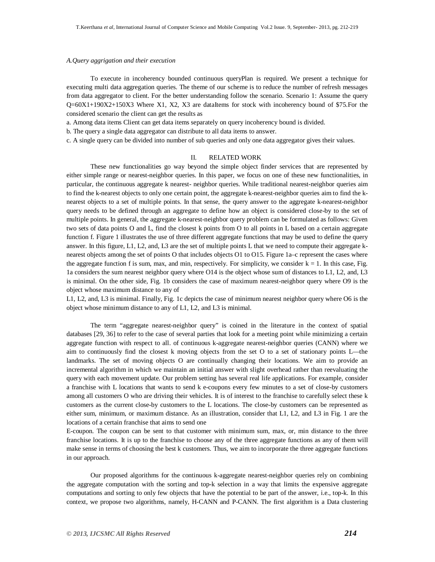### *A.Query aggrigation and their execution*

To execute in incoherency bounded continuous queryPlan is required. We present a technique for executing multi data aggregation queries. The theme of our scheme is to reduce the number of refresh messages from data aggregator to client. For the better understanding follow the scenario. Scenario 1: Assume the query Q=60X1+190X2+150X3 Where X1, X2, X3 are dataItems for stock with incoherency bound of \$75.For the considered scenario the client can get the results as

a. Among data items Client can get data items separately on query incoherency bound is divided.

b. The query a single data aggregator can distribute to all data items to answer.

c. A single query can be divided into number of sub queries and only one data aggregator gives their values.

## II. RELATED WORK

These new functionalities go way beyond the simple object finder services that are represented by either simple range or nearest-neighbor queries. In this paper, we focus on one of these new functionalities, in particular, the continuous aggregate k nearest- neighbor queries. While traditional nearest-neighbor queries aim to find the k-nearest objects to only one certain point, the aggregate k-nearest-neighbor queries aim to find the knearest objects to a set of multiple points. In that sense, the query answer to the aggregate k-nearest-neighbor query needs to be defined through an aggregate to define how an object is considered close-by to the set of multiple points. In general, the aggregate k-nearest-neighbor query problem can be formulated as follows: Given two sets of data points O and L, find the closest k points from O to all points in L based on a certain aggregate function f. Figure 1 illustrates the use of three different aggregate functions that may be used to define the query answer. In this figure, L1, L2, and, L3 are the set of multiple points L that we need to compute their aggregate knearest objects among the set of points O that includes objects O1 to O15. Figure 1a–c represent the cases where the aggregate function f is sum, max, and min, respectively. For simplicity, we consider  $k = 1$ . In this case, Fig. 1a considers the sum nearest neighbor query where O14 is the object whose sum of distances to L1, L2, and, L3 is minimal. On the other side, Fig. 1b considers the case of maximum nearest-neighbor query where O9 is the object whose maximum distance to any of

L1, L2, and, L3 is minimal. Finally, Fig. 1c depicts the case of minimum nearest neighbor query where O6 is the object whose minimum distance to any of L1, L2, and L3 is minimal.

The term "aggregate nearest-neighbor query" is coined in the literature in the context of spatial databases [29, 36] to refer to the case of several parties that look for a meeting point while minimizing a certain aggregate function with respect to all. of continuous k-aggregate nearest-neighbor queries (CANN) where we aim to continuously find the closest k moving objects from the set O to a set of stationary points L—the landmarks. The set of moving objects O are continually changing their locations. We aim to provide an incremental algorithm in which we maintain an initial answer with slight overhead rather than reevaluating the query with each movement update. Our problem setting has several real life applications. For example, consider a franchise with L locations that wants to send k e-coupons every few minutes to a set of close-by customers among all customers O who are driving their vehicles. It is of interest to the franchise to carefully select these k customers as the current close-by customers to the L locations. The close-by customers can be represented as either sum, minimum, or maximum distance. As an illustration, consider that L1, L2, and L3 in Fig. 1 are the locations of a certain franchise that aims to send one

E-coupon. The coupon can be sent to that customer with minimum sum, max, or, min distance to the three franchise locations. It is up to the franchise to choose any of the three aggregate functions as any of them will make sense in terms of choosing the best k customers. Thus, we aim to incorporate the three aggregate functions in our approach.

Our proposed algorithms for the continuous k-aggregate nearest-neighbor queries rely on combining the aggregate computation with the sorting and top-k selection in a way that limits the expensive aggregate computations and sorting to only few objects that have the potential to be part of the answer, i.e., top-k. In this context, we propose two algorithms, namely, H-CANN and P-CANN. The first algorithm is a Data clustering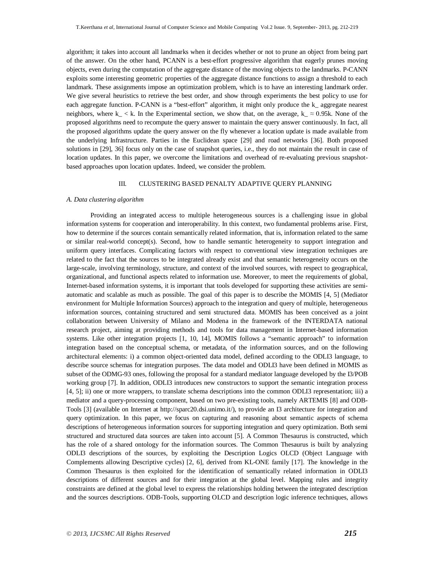algorithm; it takes into account all landmarks when it decides whether or not to prune an object from being part of the answer. On the other hand, PCANN is a best-effort progressive algorithm that eagerly prunes moving objects, even during the computation of the aggregate distance of the moving objects to the landmarks. P-CANN exploits some interesting geometric properties of the aggregate distance functions to assign a threshold to each landmark. These assignments impose an optimization problem, which is to have an interesting landmark order. We give several heuristics to retrieve the best order, and show through experiments the best policy to use for each aggregate function. P-CANN is a "best-effort" algorithm, it might only produce the k\_ aggregate nearest neighbors, where k\_ < k. In the Experimental section, we show that, on the average, k\_  $\approx$  0.95k. None of the proposed algorithms need to recompute the query answer to maintain the query answer continuously. In fact, all the proposed algorithms update the query answer on the fly whenever a location update is made available from the underlying Infrastructure. Parties in the Euclidean space [29] and road networks [36]. Both proposed solutions in [29], 36] focus only on the case of snapshot queries, i.e., they do not maintain the result in case of location updates. In this paper, we overcome the limitations and overhead of re-evaluating previous snapshotbased approaches upon location updates. Indeed, we consider the problem.

# III. CLUSTERING BASED PENALTY ADAPTIVE QUERY PLANNING

## *A. Data clustering algorithm*

Providing an integrated access to multiple heterogeneous sources is a challenging issue in global information systems for cooperation and interoperability. In this context, two fundamental problems arise. First, how to determine if the sources contain semantically related information, that is, information related to the same or similar real-world concept(s). Second, how to handle semantic heterogeneity to support integration and uniform query interfaces. Complicating factors with respect to conventional view integration techniques are related to the fact that the sources to be integrated already exist and that semantic heterogeneity occurs on the large-scale, involving terminology, structure, and context of the involved sources, with respect to geographical, organizational, and functional aspects related to information use. Moreover, to meet the requirements of global, Internet-based information systems, it is important that tools developed for supporting these activities are semiautomatic and scalable as much as possible. The goal of this paper is to describe the MOMIS [4, 5] (Mediator environment for Multiple Information Sources) approach to the integration and query of multiple, heterogeneous information sources, containing structured and semi structured data. MOMIS has been conceived as a joint collaboration between University of Milano and Modena in the framework of the INTERDATA national research project, aiming at providing methods and tools for data management in Internet-based information systems. Like other integration projects [1, 10, 14], MOMIS follows a "semantic approach" to information integration based on the conceptual schema, or metadata, of the information sources, and on the following architectural elements: i) a common object-oriented data model, defined according to the ODLI3 language, to describe source schemas for integration purposes. The data model and ODLI3 have been defined in MOMIS as subset of the ODMG-93 ones, following the proposal for a standard mediator language developed by the I3/POB working group [7]. In addition, ODLI3 introduces new constructors to support the semantic integration process [4, 5]; ii) one or more wrappers, to translate schema descriptions into the common ODLI3 representation; iii) a mediator and a query-processing component, based on two pre-existing tools, namely ARTEMIS [8] and ODB-Tools [3] (available on Internet at http://sparc20.dsi.unimo.it/), to provide an I3 architecture for integration and query optimization. In this paper, we focus on capturing and reasoning about semantic aspects of schema descriptions of heterogeneous information sources for supporting integration and query optimization. Both semi structured and structured data sources are taken into account [5]. A Common Thesaurus is constructed, which has the role of a shared ontology for the information sources. The Common Thesaurus is built by analyzing ODLI3 descriptions of the sources, by exploiting the Description Logics OLCD (Object Language with Complements allowing Descriptive cycles) [2, 6], derived from KL-ONE family [17]. The knowledge in the Common Thesaurus is then exploited for the identification of semantically related information in ODLI3 descriptions of different sources and for their integration at the global level. Mapping rules and integrity constraints are defined at the global level to express the relationships holding between the integrated description and the sources descriptions. ODB-Tools, supporting OLCD and description logic inference techniques, allows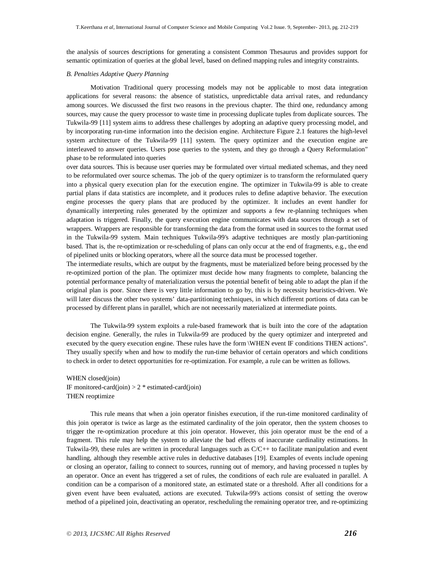the analysis of sources descriptions for generating a consistent Common Thesaurus and provides support for semantic optimization of queries at the global level, based on defined mapping rules and integrity constraints.

### *B. Penalties Adaptive Query Planning*

Motivation Traditional query processing models may not be applicable to most data integration applications for several reasons: the absence of statistics, unpredictable data arrival rates, and redundancy among sources. We discussed the first two reasons in the previous chapter. The third one, redundancy among sources, may cause the query processor to waste time in processing duplicate tuples from duplicate sources. The Tukwila-99 [11] system aims to address these challenges by adopting an adaptive query processing model, and by incorporating run-time information into the decision engine. Architecture Figure 2.1 features the high-level system architecture of the Tukwila-99 [11] system. The query optimizer and the execution engine are interleaved to answer queries. Users pose queries to the system, and they go through a Query Reformulation" phase to be reformulated into queries

over data sources. This is because user queries may be formulated over virtual mediated schemas, and they need to be reformulated over source schemas. The job of the query optimizer is to transform the reformulated query into a physical query execution plan for the execution engine. The optimizer in Tukwila-99 is able to create partial plans if data statistics are incomplete, and it produces rules to define adaptive behavior. The execution engine processes the query plans that are produced by the optimizer. It includes an event handler for dynamically interpreting rules generated by the optimizer and supports a few re-planning techniques when adaptation is triggered. Finally, the query execution engine communicates with data sources through a set of wrappers. Wrappers are responsible for transforming the data from the format used in sources to the format used in the Tukwila-99 system. Main techniques Tukwila-99's adaptive techniques are mostly plan-partitioning based. That is, the re-optimization or re-scheduling of plans can only occur at the end of fragments, e.g., the end of pipelined units or blocking operators, where all the source data must be processed together.

The intermediate results, which are output by the fragments, must be materialized before being processed by the re-optimized portion of the plan. The optimizer must decide how many fragments to complete, balancing the potential performance penalty of materialization versus the potential benefit of being able to adapt the plan if the original plan is poor. Since there is very little information to go by, this is by necessity heuristics-driven. We will later discuss the other two systems' data-partitioning techniques, in which different portions of data can be processed by different plans in parallel, which are not necessarily materialized at intermediate points.

The Tukwila-99 system exploits a rule-based framework that is built into the core of the adaptation decision engine. Generally, the rules in Tukwila-99 are produced by the query optimizer and interpreted and executed by the query execution engine. These rules have the form \WHEN event IF conditions THEN actions". They usually specify when and how to modify the run-time behavior of certain operators and which conditions to check in order to detect opportunities for re-optimization. For example, a rule can be written as follows.

WHEN closed(join) IF monitored-card(join)  $> 2$  \* estimated-card(join) THEN reoptimize

This rule means that when a join operator finishes execution, if the run-time monitored cardinality of this join operator is twice as large as the estimated cardinality of the join operator, then the system chooses to trigger the re-optimization procedure at this join operator. However, this join operator must be the end of a fragment. This rule may help the system to alleviate the bad effects of inaccurate cardinality estimations. In Tukwila-99, these rules are written in procedural languages such as C/C++ to facilitate manipulation and event handling, although they resemble active rules in deductive databases [19]. Examples of events include opening or closing an operator, failing to connect to sources, running out of memory, and having processed n tuples by an operator. Once an event has triggered a set of rules, the conditions of each rule are evaluated in parallel. A condition can be a comparison of a monitored state, an estimated state or a threshold. After all conditions for a given event have been evaluated, actions are executed. Tukwila-99's actions consist of setting the overow method of a pipelined join, deactivating an operator, rescheduling the remaining operator tree, and re-optimizing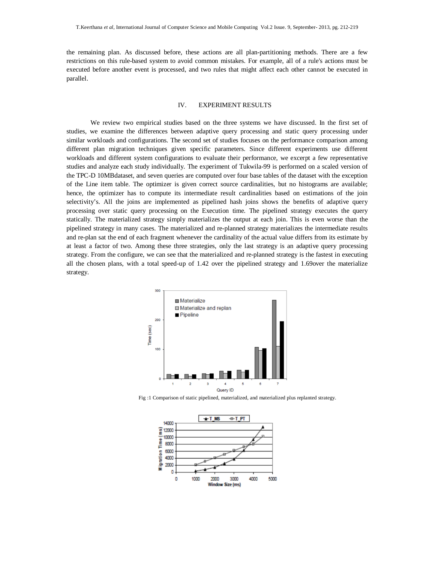the remaining plan. As discussed before, these actions are all plan-partitioning methods. There are a few restrictions on this rule-based system to avoid common mistakes. For example, all of a rule's actions must be executed before another event is processed, and two rules that might affect each other cannot be executed in parallel.

# IV. EXPERIMENT RESULTS

We review two empirical studies based on the three systems we have discussed. In the first set of studies, we examine the differences between adaptive query processing and static query processing under similar workloads and configurations. The second set of studies focuses on the performance comparison among different plan migration techniques given specific parameters. Since different experiments use different workloads and different system configurations to evaluate their performance, we excerpt a few representative studies and analyze each study individually. The experiment of Tukwila-99 is performed on a scaled version of the TPC-D 10MBdataset, and seven queries are computed over four base tables of the dataset with the exception of the Line item table. The optimizer is given correct source cardinalities, but no histograms are available; hence, the optimizer has to compute its intermediate result cardinalities based on estimations of the join selectivity's. All the joins are implemented as pipelined hash joins shows the benefits of adaptive query processing over static query processing on the Execution time. The pipelined strategy executes the query statically. The materialized strategy simply materializes the output at each join. This is even worse than the pipelined strategy in many cases. The materialized and re-planned strategy materializes the intermediate results and re-plan sat the end of each fragment whenever the cardinality of the actual value differs from its estimate by at least a factor of two. Among these three strategies, only the last strategy is an adaptive query processing strategy. From the configure, we can see that the materialized and re-planned strategy is the fastest in executing all the chosen plans, with a total speed-up of 1.42 over the pipelined strategy and 1.69over the materialize strategy.



Fig :1 Comparison of static pipelined, materialized, and materialized plus replanted strategy.

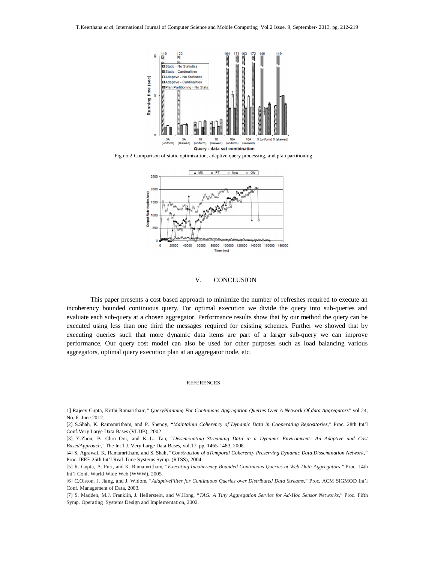

Fig no:2 Comparison of static optimization, adaptive query processing, and plan partitioning



## V. CONCLUSION

This paper presents a cost based approach to minimize the number of refreshes required to execute an incoherency bounded continuous query. For optimal execution we divide the query into sub-queries and evaluate each sub-query at a chosen aggregator. Performance results show that by our method the query can be executed using less than one third the messages required for existing schemes. Further we showed that by executing queries such that more dynamic data items are part of a larger sub-query we can improve performance. Our query cost model can also be used for other purposes such as load balancing various aggregators, optimal query execution plan at an aggregator node, etc.

#### REFERENCES

1] Rajeev Gupta, Kirthi Ramaritham," *QueryPlanning For Continuous Aggregation Queries Over A Network Of data Aggregators*" vol 24, No. 6. June 2012.

[2] S.Shah, K. Ramamritham, and P. Shenoy, "*Maintainin Coherency of Dynamic Data in Cooperating Repositories*," Proc. 28th Int'l Conf.Very Large Data Bases (VLDB), 2002

[3] Y.Zhou, B. Chin Ooi, and K.-L. Tan, "*Disseminating Streaming Data in a Dynamic Environment: An Adaptive and Cost BasedApproach*," The Int'l J. Very Large Data Bases, vol.17, pp. 1465-1483, 2008.

[4] S. Agrawal, K. Ramamritham, and S. Shah, "*Construction of aTemporal Coherency Preserving Dynamic Data Dissemination Network*," Proc. IEEE 25th Int'l Real-Time Systems Symp. (RTSS), 2004.

[5] R. Gupta, A. Puri, and K. Ramamritham, "*Executing Incoherency Bounded Continuous Queries at Web Data Aggregators*," Proc. 14th Int'l Conf. World Wide Web (WWW), 2005.

[6] C.Olston, J. Jiang, and J. Widom, "*AdaptiveFilter for Continuous Queries over Distributed Data Streams*," Proc. ACM SIGMOD Int'l Conf. Management of Data, 2003.

[7] S. Madden, M.J. Franklin, J. Hellerstein, and W.Hong, "*TAG: A Tiny Aggregation Service for Ad-Hoc Sensor Networks*," Proc. Fifth Symp. Operating Systems Design and Implementation, 2002.